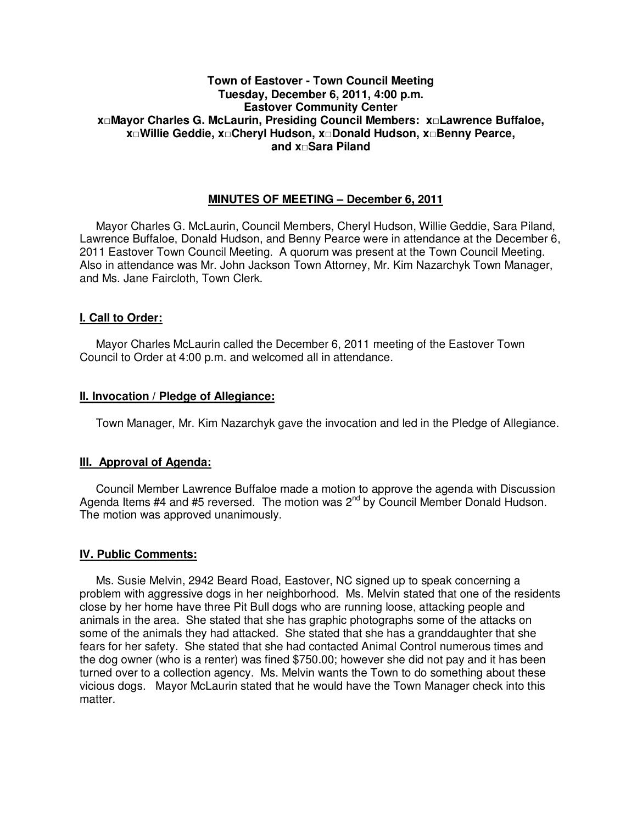## **Town of Eastover - Town Council Meeting Tuesday, December 6, 2011, 4:00 p.m. Eastover Community Center x□Mayor Charles G. McLaurin, Presiding Council Members: x□Lawrence Buffaloe, x□Willie Geddie, x□Cheryl Hudson, x□Donald Hudson, x□Benny Pearce, and x□Sara Piland**

# **MINUTES OF MEETING – December 6, 2011**

Mayor Charles G. McLaurin, Council Members, Cheryl Hudson, Willie Geddie, Sara Piland, Lawrence Buffaloe, Donald Hudson, and Benny Pearce were in attendance at the December 6, 2011 Eastover Town Council Meeting. A quorum was present at the Town Council Meeting. Also in attendance was Mr. John Jackson Town Attorney, Mr. Kim Nazarchyk Town Manager, and Ms. Jane Faircloth, Town Clerk.

## **I. Call to Order:**

Mayor Charles McLaurin called the December 6, 2011 meeting of the Eastover Town Council to Order at 4:00 p.m. and welcomed all in attendance.

## **II. Invocation / Pledge of Allegiance:**

Town Manager, Mr. Kim Nazarchyk gave the invocation and led in the Pledge of Allegiance.

# **III. Approval of Agenda:**

 Council Member Lawrence Buffaloe made a motion to approve the agenda with Discussion Agenda Items  $#4$  and  $#5$  reversed. The motion was  $2<sup>nd</sup>$  by Council Member Donald Hudson. The motion was approved unanimously.

### **IV. Public Comments:**

 Ms. Susie Melvin, 2942 Beard Road, Eastover, NC signed up to speak concerning a problem with aggressive dogs in her neighborhood. Ms. Melvin stated that one of the residents close by her home have three Pit Bull dogs who are running loose, attacking people and animals in the area. She stated that she has graphic photographs some of the attacks on some of the animals they had attacked. She stated that she has a granddaughter that she fears for her safety. She stated that she had contacted Animal Control numerous times and the dog owner (who is a renter) was fined \$750.00; however she did not pay and it has been turned over to a collection agency. Ms. Melvin wants the Town to do something about these vicious dogs. Mayor McLaurin stated that he would have the Town Manager check into this matter.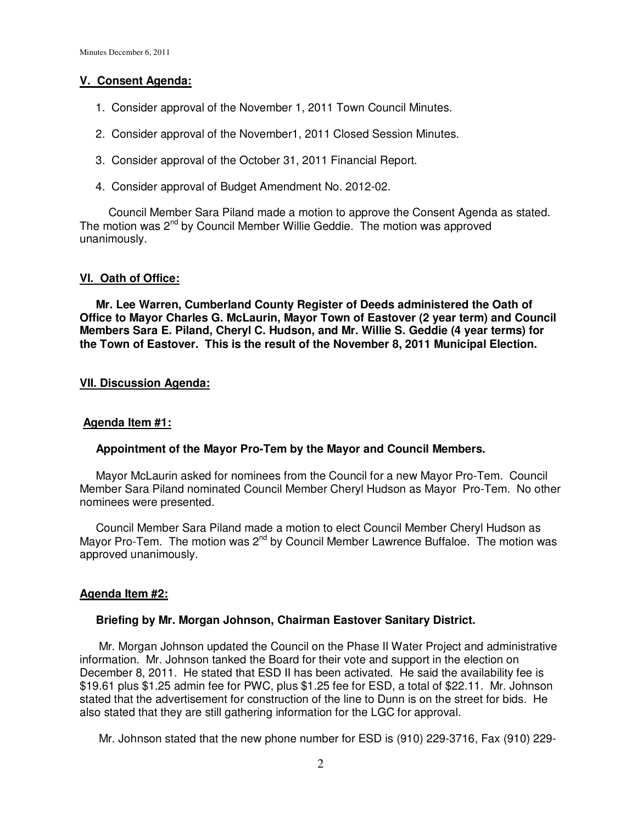## **V. Consent Agenda:**

- 1. Consider approval of the November 1, 2011 Town Council Minutes.
- 2. Consider approval of the November1, 2011 Closed Session Minutes.
- 3. Consider approval of the October 31, 2011 Financial Report.
- 4. Consider approval of Budget Amendment No. 2012-02.

Council Member Sara Piland made a motion to approve the Consent Agenda as stated. The motion was 2<sup>nd</sup> by Council Member Willie Geddie. The motion was approved unanimously.

# **VI. Oath of Office:**

 **Mr. Lee Warren, Cumberland County Register of Deeds administered the Oath of Office to Mayor Charles G. McLaurin, Mayor Town of Eastover (2 year term) and Council Members Sara E. Piland, Cheryl C. Hudson, and Mr. Willie S. Geddie (4 year terms) for the Town of Eastover. This is the result of the November 8, 2011 Municipal Election.** 

## **VII. Discussion Agenda:**

### **Agenda Item #1:**

### **Appointment of the Mayor Pro-Tem by the Mayor and Council Members.**

 Mayor McLaurin asked for nominees from the Council for a new Mayor Pro-Tem. Council Member Sara Piland nominated Council Member Cheryl Hudson as Mayor Pro-Tem. No other nominees were presented.

 Council Member Sara Piland made a motion to elect Council Member Cheryl Hudson as Mayor Pro-Tem. The motion was 2<sup>nd</sup> by Council Member Lawrence Buffaloe. The motion was approved unanimously.

### **Agenda Item #2:**

### **Briefing by Mr. Morgan Johnson, Chairman Eastover Sanitary District.**

 Mr. Morgan Johnson updated the Council on the Phase II Water Project and administrative information. Mr. Johnson tanked the Board for their vote and support in the election on December 8, 2011. He stated that ESD II has been activated. He said the availability fee is \$19.61 plus \$1.25 admin fee for PWC, plus \$1.25 fee for ESD, a total of \$22.11. Mr. Johnson stated that the advertisement for construction of the line to Dunn is on the street for bids. He also stated that they are still gathering information for the LGC for approval.

Mr. Johnson stated that the new phone number for ESD is (910) 229-3716, Fax (910) 229-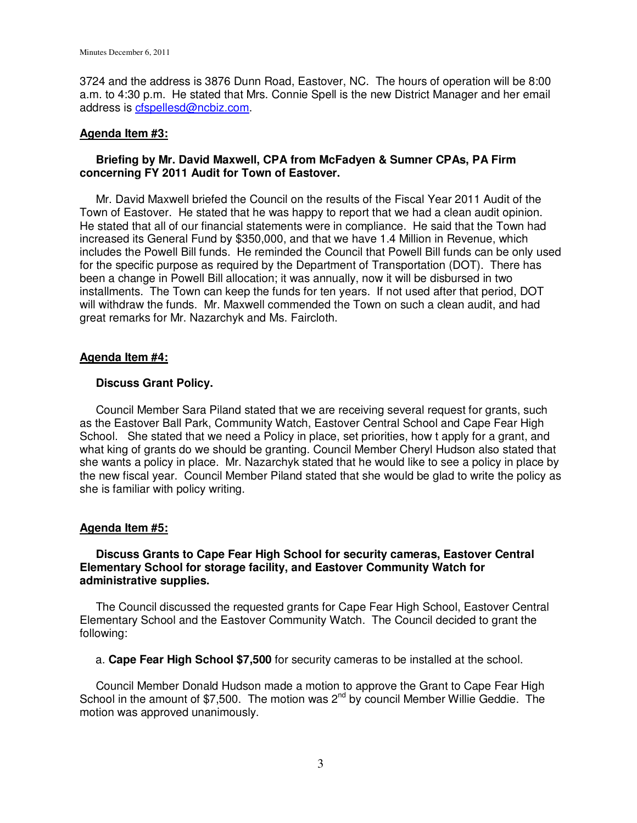3724 and the address is 3876 Dunn Road, Eastover, NC. The hours of operation will be 8:00 a.m. to 4:30 p.m. He stated that Mrs. Connie Spell is the new District Manager and her email address is cfspellesd@ncbiz.com.

### **Agenda Item #3:**

## **Briefing by Mr. David Maxwell, CPA from McFadyen & Sumner CPAs, PA Firm concerning FY 2011 Audit for Town of Eastover.**

 Mr. David Maxwell briefed the Council on the results of the Fiscal Year 2011 Audit of the Town of Eastover. He stated that he was happy to report that we had a clean audit opinion. He stated that all of our financial statements were in compliance. He said that the Town had increased its General Fund by \$350,000, and that we have 1.4 Million in Revenue, which includes the Powell Bill funds. He reminded the Council that Powell Bill funds can be only used for the specific purpose as required by the Department of Transportation (DOT). There has been a change in Powell Bill allocation; it was annually, now it will be disbursed in two installments. The Town can keep the funds for ten years. If not used after that period, DOT will withdraw the funds. Mr. Maxwell commended the Town on such a clean audit, and had great remarks for Mr. Nazarchyk and Ms. Faircloth.

## **Agenda Item #4:**

## **Discuss Grant Policy.**

 Council Member Sara Piland stated that we are receiving several request for grants, such as the Eastover Ball Park, Community Watch, Eastover Central School and Cape Fear High School. She stated that we need a Policy in place, set priorities, how t apply for a grant, and what king of grants do we should be granting. Council Member Cheryl Hudson also stated that she wants a policy in place. Mr. Nazarchyk stated that he would like to see a policy in place by the new fiscal year. Council Member Piland stated that she would be glad to write the policy as she is familiar with policy writing.

# **Agenda Item #5:**

### **Discuss Grants to Cape Fear High School for security cameras, Eastover Central Elementary School for storage facility, and Eastover Community Watch for administrative supplies.**

 The Council discussed the requested grants for Cape Fear High School, Eastover Central Elementary School and the Eastover Community Watch. The Council decided to grant the following:

a. **Cape Fear High School \$7,500** for security cameras to be installed at the school.

 Council Member Donald Hudson made a motion to approve the Grant to Cape Fear High School in the amount of \$7,500. The motion was  $2^{nd}$  by council Member Willie Geddie. The motion was approved unanimously.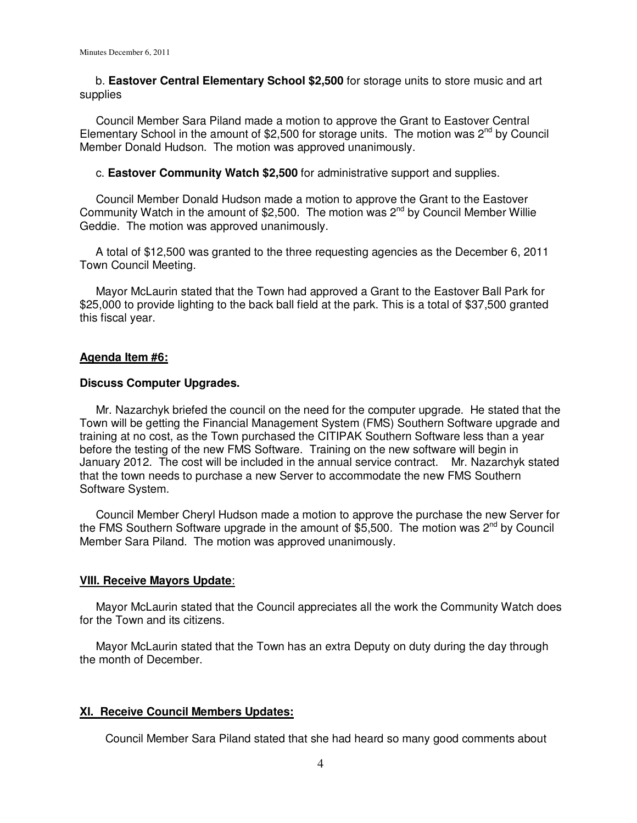b. **Eastover Central Elementary School \$2,500** for storage units to store music and art supplies

 Council Member Sara Piland made a motion to approve the Grant to Eastover Central Elementary School in the amount of \$2,500 for storage units. The motion was  $2^{nd}$  by Council Member Donald Hudson. The motion was approved unanimously.

c. **Eastover Community Watch \$2,500** for administrative support and supplies.

 Council Member Donald Hudson made a motion to approve the Grant to the Eastover Community Watch in the amount of \$2,500. The motion was 2nd by Council Member Willie Geddie. The motion was approved unanimously.

 A total of \$12,500 was granted to the three requesting agencies as the December 6, 2011 Town Council Meeting.

 Mayor McLaurin stated that the Town had approved a Grant to the Eastover Ball Park for \$25,000 to provide lighting to the back ball field at the park. This is a total of \$37,500 granted this fiscal year.

#### **Agenda Item #6:**

#### **Discuss Computer Upgrades.**

 Mr. Nazarchyk briefed the council on the need for the computer upgrade. He stated that the Town will be getting the Financial Management System (FMS) Southern Software upgrade and training at no cost, as the Town purchased the CITIPAK Southern Software less than a year before the testing of the new FMS Software. Training on the new software will begin in January 2012. The cost will be included in the annual service contract. Mr. Nazarchyk stated that the town needs to purchase a new Server to accommodate the new FMS Southern Software System.

 Council Member Cheryl Hudson made a motion to approve the purchase the new Server for the FMS Southern Software upgrade in the amount of \$5,500. The motion was  $2^{nd}$  by Council Member Sara Piland. The motion was approved unanimously.

#### **VIII. Receive Mayors Update**:

 Mayor McLaurin stated that the Council appreciates all the work the Community Watch does for the Town and its citizens.

 Mayor McLaurin stated that the Town has an extra Deputy on duty during the day through the month of December.

#### **XI. Receive Council Members Updates:**

Council Member Sara Piland stated that she had heard so many good comments about